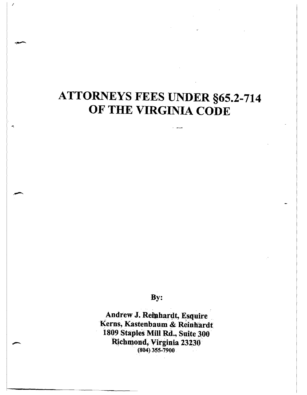# ATTORNEYS FEES UNDER §65.2-714 OF THE VIRGINIA CODE

I

Ä,

By:

Andrew J. Reinhardt, Esquire Kerns, Kastenbaum & Reinhardt 1809 Staples Mill Rd., Suite 300 Richmond, Virginia 23230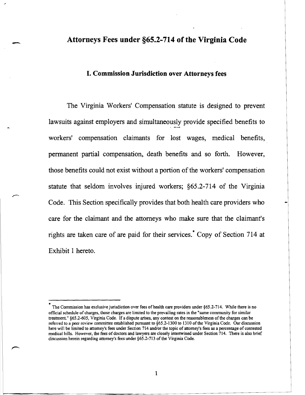# - **Attorneys Fees under §65.2-714** of the **Virginia Code**

# **I. Commission Jurisdiction over Attorneys fees**

The Virginia Workers' Compensation statute is designed to prevent lawsuits against employers and simultaneously provide specified benefits to workers' compensation claimants for lost wages, medical benefits, permanent partial compensation, death benefits and so forth. However, those benefits could not exist without a portion of the workers' compensation statute that seldom involves injured workers; §65.2-714 of the Virginia Code. This Section specifically provides that both health care providers who care for the claimant and the attorneys who make sure that the claimant's rights are taken care of are paid for their services.\* Copy of Section 714 at Exhibit 1 hereto.

The Commission has exclusive jurisdiction over fees of health care providers under §65.2-714. While there is no official schedule of charges, those charges are limited to the prevailing rates in the "same community for similar treatment." §65.2-605, Virginia Code. If a dispute arises, any contest on the reasonableness of the charges can be referred to a peer review committee established pursuant to §65.2-1300 to 1310 ofthe Virginia Code. Our discussion here will be limited to attorney's fees under Section 714 and/or the topic of attorney's fees as a percentage of contested medical bills. However, the fees of doctors and lawyers are closely intertwined under Section 714. There is also brief discussion herein regarding attorney's fees under §65.2-713 of the Virginia Code.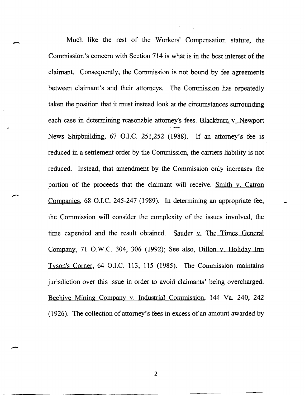Much like the rest of the Workers' Compensation statute, the Commission's concern with Section 714 is what is in the best interest of the claimant. Consequently, the Commission is not bound by fee agreements between claimant's and their attorneys. The Commission has repeatedly taken the position that it must instead look at the circumstances surrounding each case in determining reasonable attorney's fees. Blackburn v. Newport News Shipbuilding, 67 O.I.C. 251,252 (1988). If an attorney's fee is reduced in a settlement order by the Commission, the carriers liability is not reduced. Instead, that amendment by the Commission only increases the portion of the proceeds that the claimant will receive. Smith v. Catron Companies, 68 O.I.C. 245-247 (1989). In determining an appropriate fee, the Commission will consider the complexity of the issues involved, the time expended and the result obtained. Sauder v. The Times General Company, 71 O.W.C. 304, 306 (1992); See also, Dillon v, Holiday Inn Tyson's Corner, 64 O.I.C. 113, 115 (1985). The Commission maintains jurisdiction over this issue in order to avoid claimants' being overcharged. Beehive Mining Company y. Industrial Commission, 144 Va. 240, 242 (1926). The collection of attorney's fees in excess of an amount awarded by

2

--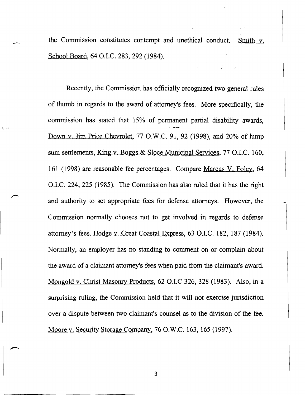the Commission constitutes contempt and unethical conduct. Smith  $v$ , School Board, 64 O.I.C. 283, 292 (1984).

Recently, the Commission has officially recognized two general rules of thumb in regards to the award of attorney's fees, More specifically, the commission has stated that 15% of permanent partial disability awards, Down v. Jim Price Chevrolet, 77 O,W,C, 91, 92 (1998), and 20% of lump sum settlements, King v. Boggs & Sloce Municipal Services, 77 O.I.C. 160, 161 (1998) are reasonable fee percentages, Compare Marcus V, Foley, 64 OJ,C, 224, 225 (1985). The Commission has also ruled that it has the right and authority to set appropriate fees for defense attorneys, However, the Commission normally chooses not to get involved in regards to defense attorney's fees. Hodge v. Great Coastal Express, 63 O.I.C. 182, 187 (1984). Normally, an employer has no standing to comment on or complain about the award of a claimant attorney's fees when paid from the claimant's award, Mongold v. Christ Masonry Products, 62 O.I.C 326, 328 (1983). Also, in a surprising ruling, the Commission held that it will not exercise jurisdiction over a dispute between two claimant's counsel as to the division of the fee, Moore v. Security Storage Company, 76 O.W.C. 163, 165 (1997).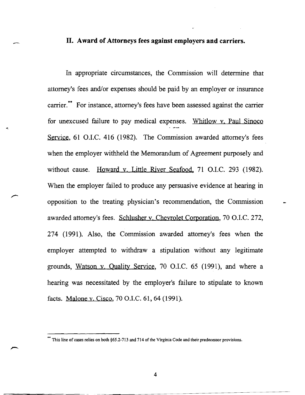#### II. Award of Attorneys fees against employers and carriers.

In appropriate circumstances, the Commission will determine that attorney's fees and/or expenses should be paid by an employer or insurance carrier.<sup>\*\*</sup> For instance, attorney's fees have been assessed against the carrier for unexcused failure to pay medical expenses. Whitlow v. Paul Sinoco Service, 61 O.I.C. 416 (1982). The Commission awarded attorney's fees when the employer withheld the Memorandum of Agreement purposely and without cause. Howard v. Little River Seafood, 71 O.I.C. 293 (1982). When the employer failed to produce any persuasive evidence at hearing in opposition to the treating physician's recommendation, the Commission awarded attorney's fees. Schlusher v. Chevrolet Corporation, 70 O.I.C. 272, 274 (1991). Also, the Commission awarded attorney's fees when the employer attempted to withdraw a stipulation without any legitimate grounds, Watson y. Quality Service, 70 O.I.C. 65 (1991), and where a hearing was necessitated by the employer's failure to stipulate to known facts. Malone y. Cisco, 70 O.I.C. 61, 64 (1991).

This line of cases relies on both §65.2-713 and 714 of the Virginia Code and their predecessor provisions.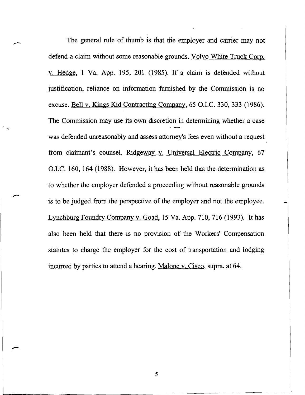The general rule of thumb is that the employer and carrier may not defend a claim without some reasonable grounds. Volvo White Truck Corp. y. Hedge, 1 Va. App. 195, 201 (1985). If a claim is defended without justification, reliance on information furnished by the Commission is no excuse. Bell v. Kings Kid Contracting Company, 65 *D.I.C.* 330, 333 (1986). The Commission may use its own discretion in determining whether a case was defended unreasonably and assess attorney's fees even without a request from claimant's counsel. Ridgeway v. Universal Electric Company, 67 *D.I.C.* 160, 164 (1988). However, it has been held that the determination as to whether the employer defended a proceeding without reasonable grounds is to be judged from the perspective of the employer and not the employee. Lynchburg Foundry Company v. Goad, 15 Va. App. 710, 716 (1993). It has also been held that there is no provision of the Workers' Compensation statutes to charge the employer for the cost of transportation and lodging incurred by parties to attend a hearing. Malone y. Cisco, supra. at 64.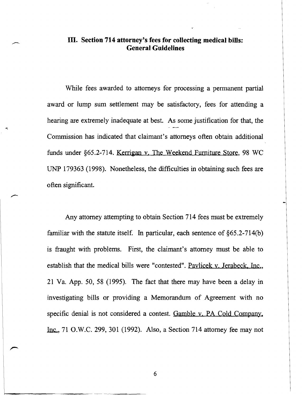# **III. Section 714 attorney's fees for collecting medical bills: General Guidelines**

While fees awarded to attorneys for processing a permanent partial award or lump sum settlement may be satisfactory, fees for attending a hearing are extremely inadequate at best. As some justification for that, the Commission has indicated that claimant's attorneys often obtain additional funds under §65.2-714. Kerrigan v. The Weekend Furniture Store, 98 WC UNP 179363 (1998). Nonetheless, the difficulties in obtaining such fees are often significant.

Any attorney attempting to obtain Section 714 fees must be extremely familiar with the statute itself. In particular, each sentence of §65.2-714(b) is fraught with problems. First, the claimant's attorney must be able to establish that the medical bills were "contested". Pavlicek v. Jerabeck, Inc., 21 Va. App. 50,58 (1995). The fact that there may have been a delay in investigating bills or providing a Memorandum of Agreement with no specific denial is not considered a contest. Gamble v. PA Cold Company, lnc..., 71 O.W.C. 299, 301 (1992). Also, a Section 714 attorney fee may not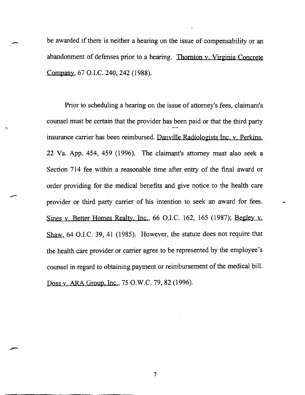be awarded if there is neither a hearing on the issue of compensability or an abandonment of defenses prior to a hearing. Thornton v. Virginia Concrete Company, 67 O.I.C. 240, 242 (1988).

Prior to scheduling a hearing on the issue of attorney's fees, claimant's counsel must be certain that the provider has been paid or that the third party insurance carrier has been reimbursed. Danville Radiologists Inc. v. Perkins, 22 Va. App. 454, 459 (1996). The claimant's attorney must also seek a Section 714 fee within a reasonable time after entry of the final award or order providing for the medical benefits and give notice to the health care provider or third party carrier of his intention to seek an award for fees. Sines y. Better Homes Realty, Inc., 66 O.I.C. 162, 165 (1987); Begley y. Shaw, 64 O.I.C. 39, 41 (1985). However, the statute does not require that the health care provider or carrier agree to be represented by the employee's counsel in regard to obtaining payment or reimbursement of the medical bill. Doss v. ARA Group, Inc., 75 O.W.C. 79, 82 (1996).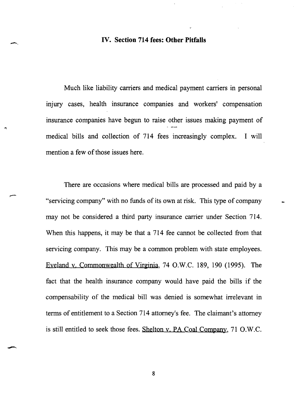#### **IV. Section 714 fees: Other Pitfalls**

Much like liability carriers and medical payment carriers in personal injury cases, health insurance companies and workers' compensation insurance companies have begun to raise other issues making payment of medical bills and collection of 714 fees increasingly complex. I will mention a few of those issues here.

There are occasions where medical bills are processed and paid by a "servicing company" with no funds of its own at risk. This type of company may not be considered a third party insurance carrier under Section 714. When this happens, it may be that a 714 fee cannot be collected from that servicing company. This may be a common problem with state employees. Eveland v. Commonwealth of Virginia, 74 O.W.C. 189, 190 (1995). The fact that the health insurance company would have paid the bills if the compensability of the medical bill was denied is somewhat irrelevant in terms of entitlement to a Section 714 attorney's fee. The claimant's attorney is still entitled to seek those fees. Shelton v. PA Coal Company, 71 O.W.C.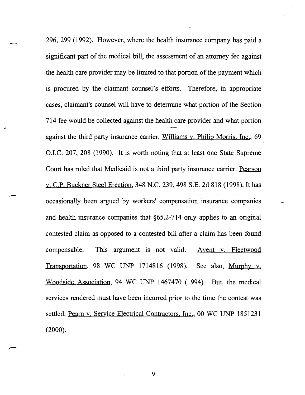296, 299 (1992). However, where the health insurance company has paid a significant part of the medical bill, the assessment of an attorney fee against the health care provider may be limited to that portion of the payment which is procured by the claimant counsel's efforts. Therefore, in appropriate cases, claimant's counsel will have to determine what portion of the Section 714 fee would be collected against the health care provider and what portion against the third party insurance carrier. Williams v. Philip Morris, Inc., 69 O.I.C. 207, 208 (1990). It is worth noting that at least one State Supreme Court has ruled that Medicaid is not a third party insurance carrier. Pearson v. C,P, Buckner Steel Erection, 348 N.C. 239,498 S.E. 2d 818 (1998). It has occasionally been argued by workers' compensation insurance companies and health insurance companies that §65.2-714 only applies to an original contested claim as opposed to a contested bill after a claim has been found compensable. This argument is not valid. Avent y Fleetwood Transportation, 98 WC UNP 1714816 (1998). See also, Murphy v, Woodside Association, 94 WC UNP 1467470 (1994). But, the medical services rendered must have been incurred prior to the time the contest was settled. Pearn v. Service Electrical Contractors, Inc., 00 WC UNP 1851231 (2000).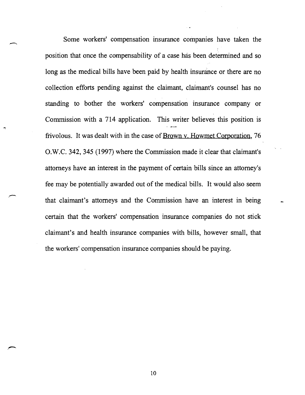Some workers' compensation insurance companies have taken the position that once the compensability of a case has been determined and so long as the medical bills have been paid by health insurance or there are no collection efforts pending against the claimant, claimant's counsel has no standing to bother the workers' compensation insurance company or Commission with a 714 application. This writer believes this position is frivolous. It was dealt with in the case of Brown v, Howmet Corporation, 76 a.w.c. 342, 345 (1997) where the Commission made it clear that claimant's attorneys have an interest in the payment of certain bills since an attorney's fee may be potentially awarded out of the medical bills. It would also seem that claimant's attorneys and the Commission have an interest in being certain that the workers' compensation insurance companies do not stick claimant's and health insurance companies with bills, however small, that the workers' compensation insurance companies should be paying.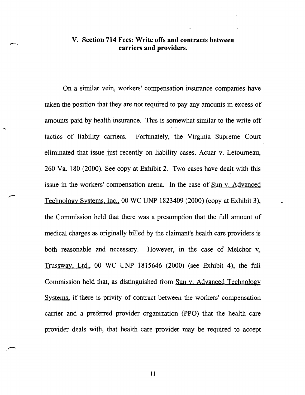## **V. Section 714 Fees: Write offs and contracts between carriers and providers.**

On a similar vein, workers' compensation insurance companies have taken the position that they are not required to pay any amounts in excess of amounts paid by health insurance. This is somewhat similar to the write off tactics of liability carriers. Fortunately, the Virginia Supreme Court eliminated that issue just recently on liability cases. Acuar v. Letourneau, 260 Va. 180 (2000). See copy at Exhibit 2. Two cases have dealt with this issue in the workers' compensation arena. In the case of Sun v, Advanced Technology Systems, Inc., 00 WC UNP 1823409 (2000) (copy at Exhibit 3), the Commission held that there was a presumption that the full amount of medical charges as originally billed by the claimant's health care providers is both reasonable and necessary. However, in the case of Melchor v. Trussway, Ltd., 00 WC UNP 1815646 (2000) (see Exhibit 4), the full Commission held that, as distinguished from Sun v. Advanced Technology Systems, if there is privity of contract between the workers' compensation carrier and a preferred provider organization (PPO) that the health care provider deals with, that health care provider may be required to accept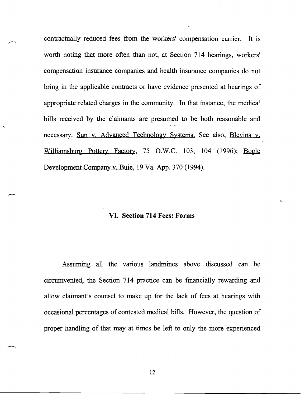contractually reduced fees from the workers' compensation carrier. It is worth noting that more often than not, at Section 714 hearings, workers' compensation insurance companies and health insurance companies do not bring in the applicable contracts or have evidence presented at hearings of appropriate related charges in the community. In that instance, the medical bills received by the claimants are presumed to be both reasonable and necessary. Sun v. Advanced Technology Systems. See also, Blevins v. Williamsburg Pottery Factory, 75 O.W.C. 103, 104 (1996); Bogle Development Company v. Buie, 19 Va. App. 370 (1994).

#### VI. Section **714** Fees: Forms

--

Assuming all the various landmines above discussed can be circumvented, the Section 714 practice can be financially rewarding and allow claimant's counsel to make up for the lack of fees at hearings with occasional percentages of contested medical bills. However, the question of proper handling of that may at times be left to only the more experienced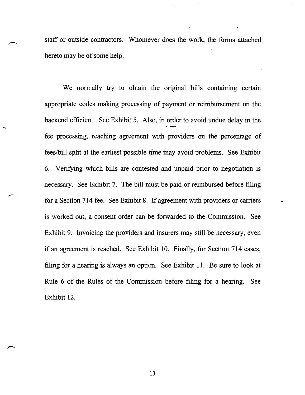staff or outside contractors. Whomever does the work, the forms attached hereto may be of some help.

We normally try to obtain the original bills containing certain appropriate codes making processing of payment or reimbursement on the backend efficient. See Exhibit 5. Also, in order to avoid undue delay in the fee processing, reaching agreement with providers on the percentage of fees/bill split at the earliest possible time may avoid problems. See Exhibit 6. Verifying which bills are contested and unpaid prior to negotiation is necessary. See Exhibit 7. The bill must be paid or reimbursed before filing for a Section 714 fee. See Exhibit 8. If agreement with providers or carriers is worked out, a consent order can be forwarded to the Commission. See Exhibit 9. Invoicing the providers and insurers may still be necessary, even if an agreement is reached. See Exhibit 10. Finally, for Section 714 cases, filing for a hearing is always an option. See Exhibit 11. Be sure to look at Rule 6 of the Rules of the Commission before filing for a hearing. See Exhibit 12.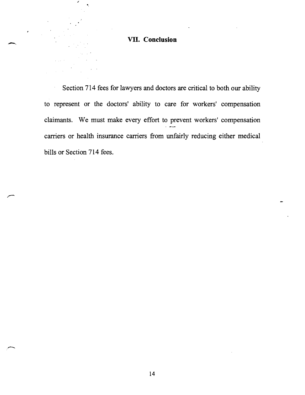## **VII. Conclusion**

'.

Section 714 fees for lawyers and doctors are critical to both our ability to represent or the doctors' ability to care for workers' compensation claimants. We must make every effort to prevent workers' compensation carriers or health insurance carriers from unfairly reducing either medical bills or Section 714 fees.